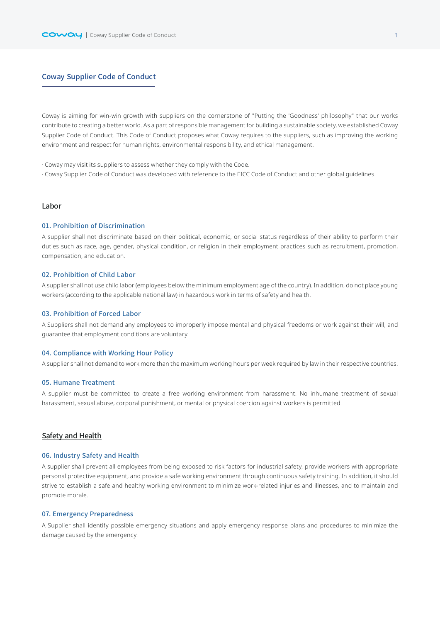# Coway Supplier Code of Conduct

Coway is aiming for win-win growth with suppliers on the cornerstone of "Putting the 'Goodness' philosophy" that our works contribute to creating a better world. As a part of responsible management for building a sustainable society, we established Coway Supplier Code of Conduct. This Code of Conduct proposes what Coway requires to the suppliers, such as improving the working environment and respect for human rights, environmental responsibility, and ethical management.

· Coway may visit its suppliers to assess whether they comply with the Code.

· Coway Supplier Code of Conduct was developed with reference to the EICC Code of Conduct and other global guidelines.

# Labor

## 01. Prohibition of Discrimination

A supplier shall not discriminate based on their political, economic, or social status regardless of their ability to perform their duties such as race, age, gender, physical condition, or religion in their employment practices such as recruitment, promotion, compensation, and education.

## 02. Prohibition of Child Labor

A supplier shall not use child labor (employees below the minimum employment age of the country). In addition, do not place young workers (according to the applicable national law) in hazardous work in terms of safety and health.

# 03. Prohibition of Forced Labor

A Suppliers shall not demand any employees to improperly impose mental and physical freedoms or work against their will, and guarantee that employment conditions are voluntary.

## 04. Compliance with Working Hour Policy

A supplier shall not demand to work more than the maximum working hours per week required by law in their respective countries.

# 05. Humane Treatment

A supplier must be committed to create a free working environment from harassment. No inhumane treatment of sexual harassment, sexual abuse, corporal punishment, or mental or physical coercion against workers is permitted.

# Safety and Health

### 06. Industry Safety and Health

A supplier shall prevent all employees from being exposed to risk factors for industrial safety, provide workers with appropriate personal protective equipment, and provide a safe working environment through continuous safety training. In addition, it should strive to establish a safe and healthy working environment to minimize work-related injuries and illnesses, and to maintain and promote morale.

#### 07. Emergency Preparedness

A Supplier shall identify possible emergency situations and apply emergency response plans and procedures to minimize the damage caused by the emergency.